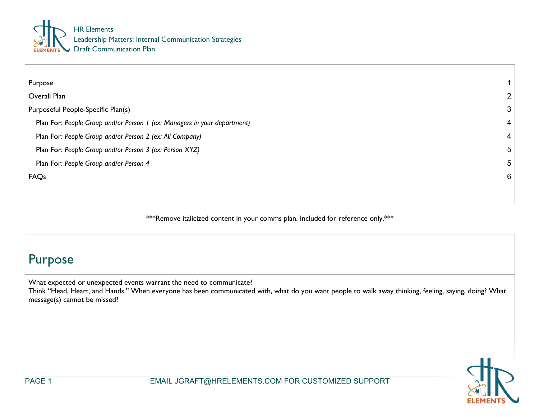

| Purpose                                                                  | $\mathbf 1$     |
|--------------------------------------------------------------------------|-----------------|
| Overall Plan                                                             | 2               |
| Purposeful People-Specific Plan(s)                                       | $\mathbf{3}$    |
| Plan For: People Group and/or Person 1 (ex: Managers in your department) | $\overline{4}$  |
| Plan For: People Group and/or Person 2 (ex: All Company)                 | $\overline{4}$  |
| Plan For: People Group and/or Person 3 (ex: Person XYZ)                  | $5\overline{)}$ |
| Plan For: People Group and/or Person 4                                   | $5\phantom{.0}$ |
| FAQs                                                                     | 6               |
|                                                                          |                 |
|                                                                          |                 |

\*\*\*Remove italicized content in your comms plan. Included for reference only.\*\*\*

## Purpose

What expected or unexpected events warrant the need to communicate?

Think "Head, Heart, and Hands." When everyone has been communicated with, what do you want people to walk away thinking, feeling, saying, doing? What message(s) cannot be missed?

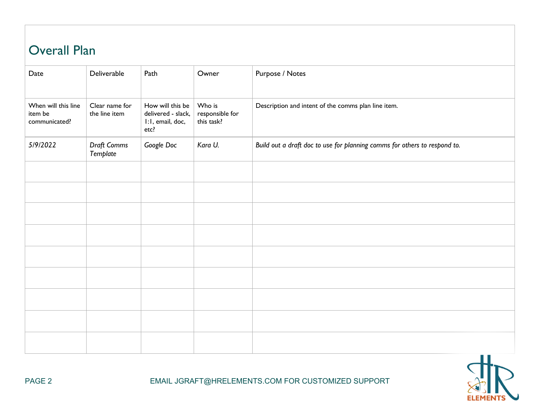## Overall Plan

| Date                                            | Deliverable                     | Path                                                               | Owner                                   | Purpose / Notes                                                           |
|-------------------------------------------------|---------------------------------|--------------------------------------------------------------------|-----------------------------------------|---------------------------------------------------------------------------|
| When will this line<br>item be<br>communicated? | Clear name for<br>the line item | How will this be<br>delivered - slack,<br>I:I, email, doc,<br>etc? | Who is<br>responsible for<br>this task? | Description and intent of the comms plan line item.                       |
| 5/9/2022                                        | Draft Comms<br>Template         | Google Doc                                                         | Kara U.                                 | Build out a draft doc to use for planning comms for others to respond to. |
|                                                 |                                 |                                                                    |                                         |                                                                           |
|                                                 |                                 |                                                                    |                                         |                                                                           |
|                                                 |                                 |                                                                    |                                         |                                                                           |
|                                                 |                                 |                                                                    |                                         |                                                                           |
|                                                 |                                 |                                                                    |                                         |                                                                           |
|                                                 |                                 |                                                                    |                                         |                                                                           |
|                                                 |                                 |                                                                    |                                         |                                                                           |
|                                                 |                                 |                                                                    |                                         |                                                                           |
|                                                 |                                 |                                                                    |                                         |                                                                           |

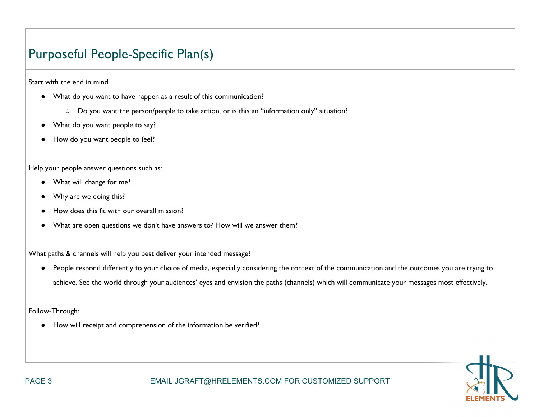## Purposeful People-Specific Plan(s)

Start with the end in mind.

- What do you want to have happen as a result of this communication?
	- Do you want the person/people to take action, or is this an "information only" situation?
- What do you want people to say?
- How do you want people to feel?

Help your people answer questions such as:

- What will change for me?
- Why are we doing this?
- How does this fit with our overall mission?
- What are open questions we don't have answers to? How will we answer them?

What paths & channels will help you best deliver your intended message?

● People respond differently to your choice of media, especially considering the context of the communication and the outcomes you are trying to achieve. See the world through your audiences' eyes and envision the paths (channels) which will communicate your messages most effectively.

Follow-Through:

● How will receipt and comprehension of the information be verified?

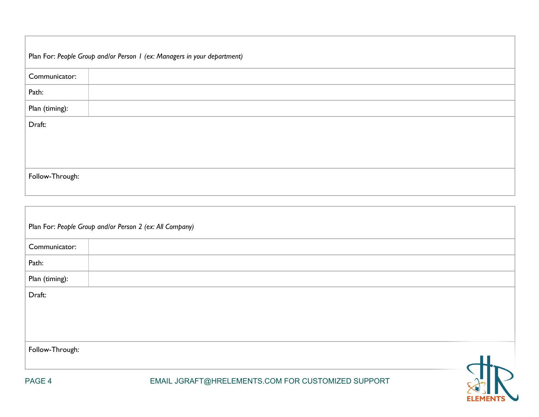| Plan For: People Group and/or Person 1 (ex: Managers in your department) |  |  |  |  |  |
|--------------------------------------------------------------------------|--|--|--|--|--|
| Communicator:                                                            |  |  |  |  |  |
| Path:                                                                    |  |  |  |  |  |
| Plan (timing):                                                           |  |  |  |  |  |
| Draft:                                                                   |  |  |  |  |  |
|                                                                          |  |  |  |  |  |
|                                                                          |  |  |  |  |  |
| Follow-Through:                                                          |  |  |  |  |  |

|                 | Plan For: People Group and/or Person 2 (ex: All Company) |  |
|-----------------|----------------------------------------------------------|--|
| Communicator:   |                                                          |  |
| Path:           |                                                          |  |
| Plan (timing):  |                                                          |  |
| Draft:          |                                                          |  |
| Follow-Through: |                                                          |  |
| PAGE 4          | EMAIL JGRAFT@HRELEMENTS.COM FOR CUSTOMIZED SUPPORT       |  |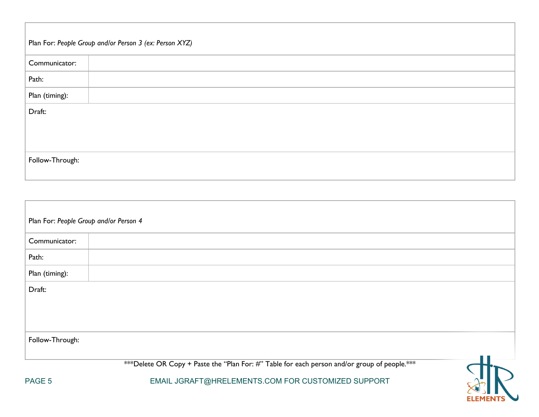| Plan For: People Group and/or Person 3 (ex: Person XYZ) |  |  |  |  |  |
|---------------------------------------------------------|--|--|--|--|--|
| Communicator:                                           |  |  |  |  |  |
| Path:                                                   |  |  |  |  |  |
| Plan (timing):                                          |  |  |  |  |  |
| Draft:                                                  |  |  |  |  |  |
|                                                         |  |  |  |  |  |
|                                                         |  |  |  |  |  |
| Follow-Through:                                         |  |  |  |  |  |
|                                                         |  |  |  |  |  |

| Plan For: People Group and/or Person 4 |                                                                                              |  |
|----------------------------------------|----------------------------------------------------------------------------------------------|--|
| Communicator:                          |                                                                                              |  |
| Path:                                  |                                                                                              |  |
| Plan (timing):                         |                                                                                              |  |
| Draft:                                 |                                                                                              |  |
| Follow-Through:                        |                                                                                              |  |
|                                        | ***Delete OR Copy + Paste the "Plan For: #" Table for each person and/or group of people.*** |  |
| PAGE 5                                 | EMAIL JGRAFT@HRELEMENTS.COM FOR CUSTOMIZED SUPPORT                                           |  |